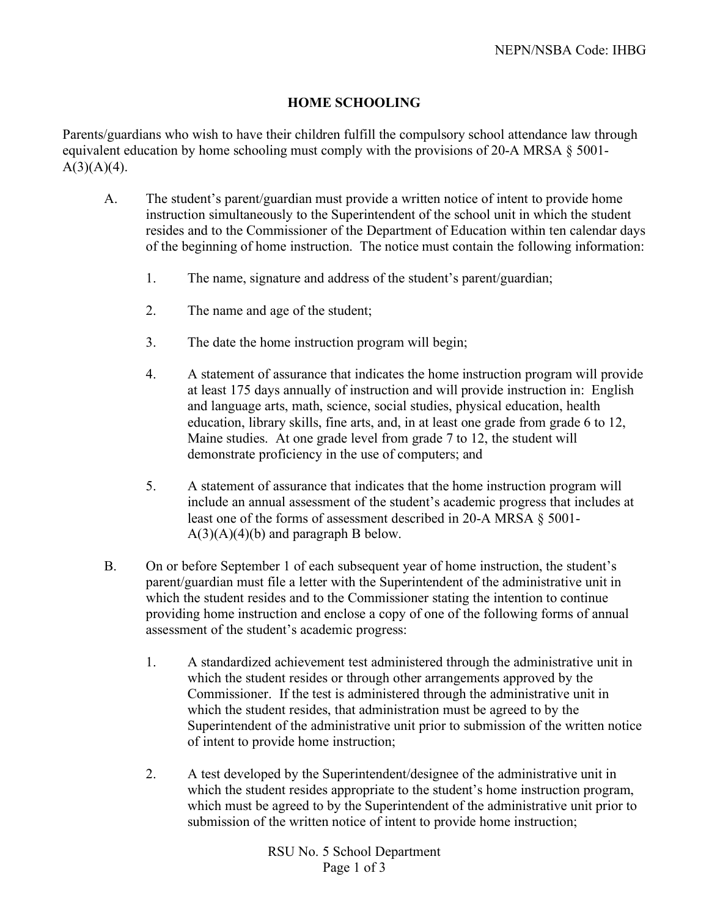## **HOME SCHOOLING**

Parents/guardians who wish to have their children fulfill the compulsory school attendance law through equivalent education by home schooling must comply with the provisions of 20-A MRSA § 5001-  $A(3)(A)(4)$ .

- A. The student's parent/guardian must provide a written notice of intent to provide home instruction simultaneously to the Superintendent of the school unit in which the student resides and to the Commissioner of the Department of Education within ten calendar days of the beginning of home instruction. The notice must contain the following information:
	- 1. The name, signature and address of the student's parent/guardian;
	- 2. The name and age of the student;
	- 3. The date the home instruction program will begin;
	- 4. A statement of assurance that indicates the home instruction program will provide at least 175 days annually of instruction and will provide instruction in: English and language arts, math, science, social studies, physical education, health education, library skills, fine arts, and, in at least one grade from grade 6 to 12, Maine studies. At one grade level from grade 7 to 12, the student will demonstrate proficiency in the use of computers; and
	- 5. A statement of assurance that indicates that the home instruction program will include an annual assessment of the student's academic progress that includes at least one of the forms of assessment described in 20-A MRSA § 5001-  $A(3)(A)(4)(b)$  and paragraph B below.
- B. On or before September 1 of each subsequent year of home instruction, the student's parent/guardian must file a letter with the Superintendent of the administrative unit in which the student resides and to the Commissioner stating the intention to continue providing home instruction and enclose a copy of one of the following forms of annual assessment of the student's academic progress:
	- 1. A standardized achievement test administered through the administrative unit in which the student resides or through other arrangements approved by the Commissioner. If the test is administered through the administrative unit in which the student resides, that administration must be agreed to by the Superintendent of the administrative unit prior to submission of the written notice of intent to provide home instruction;
	- 2. A test developed by the Superintendent/designee of the administrative unit in which the student resides appropriate to the student's home instruction program, which must be agreed to by the Superintendent of the administrative unit prior to submission of the written notice of intent to provide home instruction;

RSU No. 5 School Department Page 1 of 3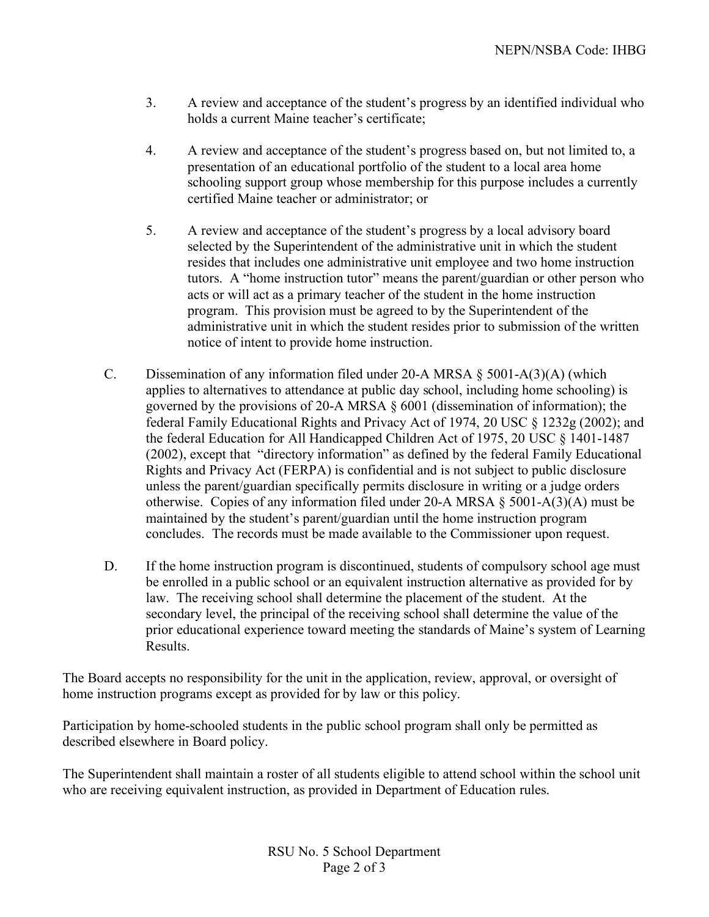- 3. A review and acceptance of the student's progress by an identified individual who holds a current Maine teacher's certificate;
- 4. A review and acceptance of the student's progress based on, but not limited to, a presentation of an educational portfolio of the student to a local area home schooling support group whose membership for this purpose includes a currently certified Maine teacher or administrator; or
- 5. A review and acceptance of the student's progress by a local advisory board selected by the Superintendent of the administrative unit in which the student resides that includes one administrative unit employee and two home instruction tutors. A "home instruction tutor" means the parent/guardian or other person who acts or will act as a primary teacher of the student in the home instruction program. This provision must be agreed to by the Superintendent of the administrative unit in which the student resides prior to submission of the written notice of intent to provide home instruction.
- C. Dissemination of any information filed under 20-A MRSA § 5001-A(3)(A) (which applies to alternatives to attendance at public day school, including home schooling) is governed by the provisions of 20-A MRSA § 6001 (dissemination of information); the federal Family Educational Rights and Privacy Act of 1974, 20 USC § 1232g (2002); and the federal Education for All Handicapped Children Act of 1975, 20 USC § 1401-1487 (2002), except that "directory information" as defined by the federal Family Educational Rights and Privacy Act (FERPA) is confidential and is not subject to public disclosure unless the parent/guardian specifically permits disclosure in writing or a judge orders otherwise. Copies of any information filed under 20-A MRSA § 5001-A(3)(A) must be maintained by the student's parent/guardian until the home instruction program concludes. The records must be made available to the Commissioner upon request.
- D. If the home instruction program is discontinued, students of compulsory school age must be enrolled in a public school or an equivalent instruction alternative as provided for by law. The receiving school shall determine the placement of the student. At the secondary level, the principal of the receiving school shall determine the value of the prior educational experience toward meeting the standards of Maine's system of Learning **Results**.

The Board accepts no responsibility for the unit in the application, review, approval, or oversight of home instruction programs except as provided for by law or this policy.

Participation by home-schooled students in the public school program shall only be permitted as described elsewhere in Board policy.

The Superintendent shall maintain a roster of all students eligible to attend school within the school unit who are receiving equivalent instruction, as provided in Department of Education rules.